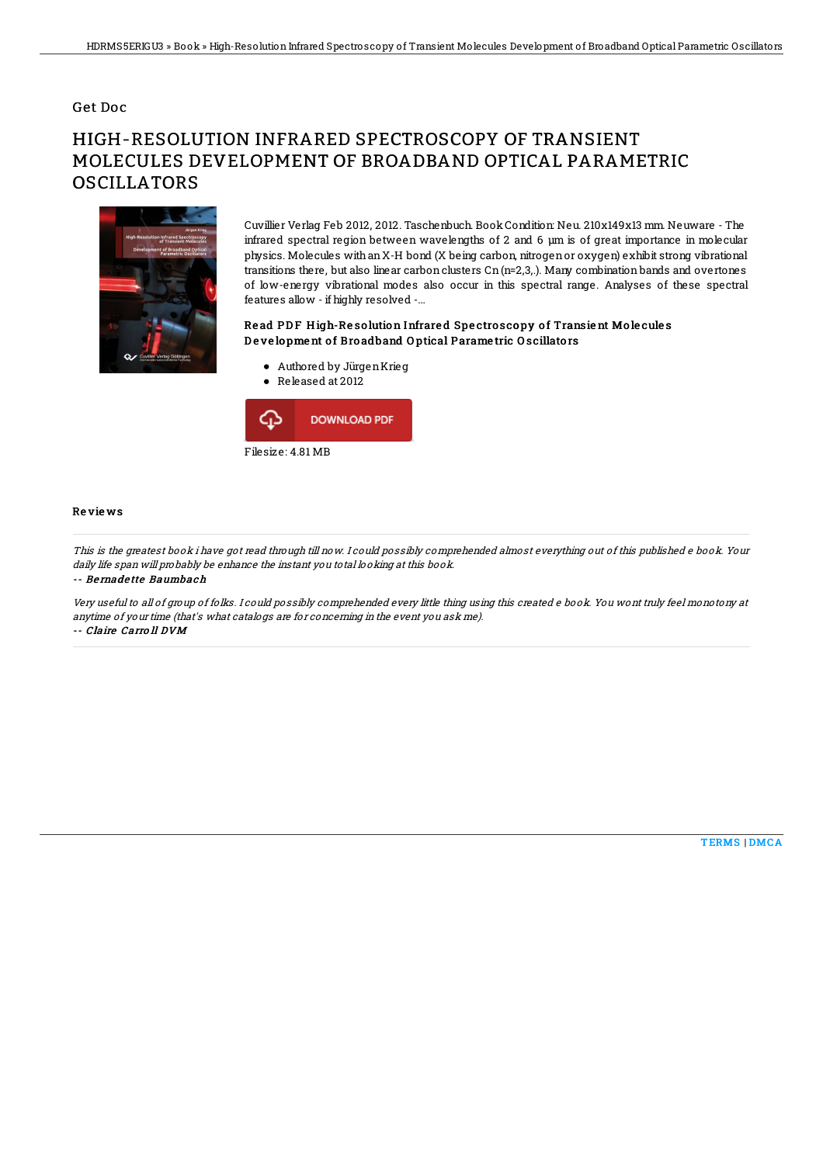### Get Doc

# HIGH-RESOLUTION INFRARED SPECTROSCOPY OF TRANSIENT MOLECULES DEVELOPMENT OF BROADBAND OPTICAL PARAMETRIC OSCILLATORS



Cuvillier Verlag Feb 2012, 2012. Taschenbuch. BookCondition: Neu. 210x149x13 mm. Neuware - The infrared spectral region between wavelengths of 2 and 6 µm is of great importance in molecular physics. Molecules withanX-H bond (X being carbon, nitrogenor oxygen) exhibit strong vibrational transitions there, but also linear carbon clusters Cn (n=2,3,.). Many combination bands and overtones of low-energy vibrational modes also occur in this spectral range. Analyses of these spectral features allow - if highly resolved -...

#### Read PDF High-Resolution Infrared Spectroscopy of Transient Molecules De velopment of Broadband Optical Parametric Oscillators

- Authored by JürgenKrieg
- Released at 2012



#### Re vie ws

This is the greatest book i have got read through till now. I could possibly comprehended almost everything out of this published <sup>e</sup> book. Your daily life span will probably be enhance the instant you total looking at this book.

-- Be rnade tte Baumbach

Very useful to all of group of folks. I could possibly comprehended every little thing using this created <sup>e</sup> book. You wont truly feel monotony at anytime of your time (that's what catalogs are for concerning in the event you ask me). -- Claire Carro ll DVM